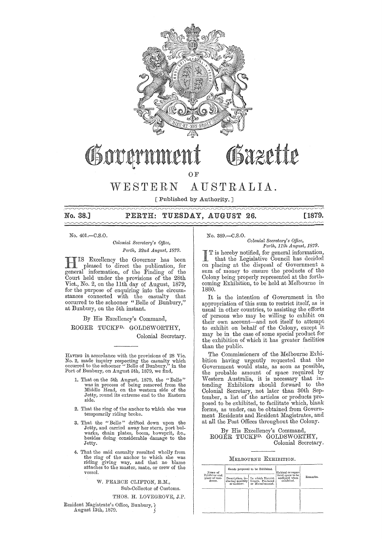

# Bazette Govern

OF

WESTERN AUSTRALIA.

[Published by Authority. ]

# No. 38,] PERTH: TUESDAY, AUGUST 26. [1879.

No. 401.-C.S.O.

### *Colonial Secretary's Office, Perth, 22nd A.ugust, 1879.*

HIS Excellency the Governor has been pleased to direct the publication, for general information, of the Finding of the Court held· under the provisions of the 28th Vict., No. 2, on the 11th day of August, 1879, for the purpose of enquiring into the circumstances connected with the casualty that occurred to the schooner "Belle of Bunbury," at Bunbury, on the 5th instant.

By His Excellency's Command,

ROGER TUCKFD. GOLDSWORTHY,

Colonial Secretary.

IIAVING in accordance with the provisions of 28 Vic. No. 2, made inquiry respecting the casualty which occurred to the schooner "Belle of Bunbury," in the Port of Bunbury, on August 5th, 1879, we find,

- 1. That on the 5th August, 1879, the "Belle" was in process of being removed from the Middle Head, on the western side of the Jetty, round its extreme end to the Eastern side.
- 2. That the ring of the anchor to which she was temporarily riding broke.
- 3. That the "Belle" drifted down upon the Jetty, and carried away her stern, port bul-warks, chain plates, boom, bowsprit, &c., besides doing considerable damage to the Jetty.
- 4. That the said casualty resulted wholly from the ring of the anchor to which she was riding giving way, and that no blame attaches to the master, mate, or crew of the vessel.

W. PEARCE CLIFTON, R.M., Sub-Collector of Customs.

## THOS. H. LOVEGROVE, J.P.

Resident Magistrate's Office, Bunbury, ? August 13th, 1879.

# No. 389.-C.S.O. *Colonial Secretary's Office,*<br>Perth, 11th August, 1879.

I T is hereby notified, for general information, that the Legislative Council has decided on placing at the disposal of Government a sum of money to ensure the products of the Colony being properly represented at the forthcoming Exhibition, to be held at Melbourne in 1880.

It is the intention of Government in the appropriation of this sum to restrict itself, as is usual in other countries, to assisting the efforts of persons who may be willing to exhibit on their own account-and not itself to attempt to exhibit on behalf of the Colony, except it may be in the case of some special product for the exhibition of which it has greater facilities than the public.

The Commissioners of the Melbourne Exhibition having urgently requested that the Government would state, as soon as possible, the probable amount of space required by Western Australia, it is necessary that intending Exhibitors should forward to the Colonial Secretary, not later than 30th September, a list of the articles or products proposed to be exhibited, to facilitate which, blank forms, as under, can be obtained from Government Residents and Resident Magistrates, and at all the Post Offices throughout the Colony.

By His Excellency's Command, ROGER TUCKFD. GOLDSWORTHY, Colonial Secretary.

#### MELBOURNE EXHIBITION.

| Name of<br>Exhibitor and<br>place of resi-<br>dence. |                                | Goods proposed to be Exhibited.                                             | Cubical or super-                                 |          |
|------------------------------------------------------|--------------------------------|-----------------------------------------------------------------------------|---------------------------------------------------|----------|
|                                                      | Description, in-<br>or number. | In which District<br>cluding quantity   Grown, Produced<br>or Manufactured. | ficial space to be<br>occupied when<br>exhibited. | Remarks. |
|                                                      |                                |                                                                             |                                                   |          |
|                                                      |                                |                                                                             |                                                   |          |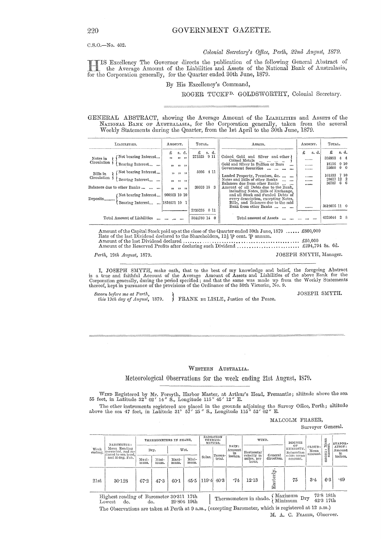C.S.O.-No. 402.

#### Colonial Secretary's Office, Perth, 22nd August, 1879.

IIS Excellency The Governor directs the publication of the following General Abstract of the Average Amount of the Liabilities and Assets of the National Bank of Australasia, for the Corporation generally, for the Quarter ended 30th June, 1879.

#### By His Excellency's Command,

ROGER TUCKF<sup>D.</sup> GOLDSWORTHY, Colonial Secretary.

GENERAL ABSTRACT, showing the Average Amount of the LIABILITIES and ASSETS of the NATIONAL BANK OF AUSTRALASIA, for the Corporation generally, taken from the several Weekly Statements during the Quarter, from the 1st April to the 30th June, 1879.

| LIABILITIES.                                                                                                                                                                                                                                     | AMOUNT.                                                                                                                     | TOTAL.                                                  | ASSETS.                                                                                                                                                                                                                                                                                                                                                                                                                                                                               | AMOUNT.                             | TOTAL.                                                                                                                                             |
|--------------------------------------------------------------------------------------------------------------------------------------------------------------------------------------------------------------------------------------------------|-----------------------------------------------------------------------------------------------------------------------------|---------------------------------------------------------|---------------------------------------------------------------------------------------------------------------------------------------------------------------------------------------------------------------------------------------------------------------------------------------------------------------------------------------------------------------------------------------------------------------------------------------------------------------------------------------|-------------------------------------|----------------------------------------------------------------------------------------------------------------------------------------------------|
| Not bearing Interest<br>Notes in<br>Circulation<br>Bearing Interest<br>Not bearing Interest<br>Bills in<br>Circulation<br>Bearing Interest<br>Balances due to other Banks<br>Not bearing Interest<br>Deposits<br>Bearing Interest  [1834671 10 1 | £<br>s. d.<br>$\overline{\phantom{a}}$<br>, 1, 1, 1<br>$22 \t 32 \t 32$<br>$33 \t37 \t37$<br>$22 \t22 \t32$<br>900563 10 10 | £<br>s. d.<br>273525<br>9 11<br>5086 4 11<br>30933 18 3 | Coined Gold and Silver and other<br>Coined Metals<br>and the state and<br>Gold and Silver in Bullion or Bars<br>$\cdots$<br>Government Securities<br><br>Landed Property, Premises, &c.<br>Notes and Bills of other Banks<br>Balances due from other Banks<br>Amount of all Debts due to the Bank.<br>including Notes, Bills of Exchange,<br>and all Stock and Funded Debts of<br>every description, excepting Notes,<br>Bills, and Balances due to the said<br>Bank from other Banks | -s. d.<br>£<br><br><br><br><br><br> | £<br>s. d.<br>395953<br>$4\quad4$<br>18156<br>0.10<br>25000<br>$0\quad 0$<br>7 10<br>101533<br>$12\quad 2$<br>28617<br>66<br>36707<br>3619076 11 0 |
| Total Amount of Liabilities                                                                                                                                                                                                                      | $100 - 100 - 100$                                                                                                           | 2735235 0 11<br>3044780 14 0                            | Total amount of Assets                                                                                                                                                                                                                                                                                                                                                                                                                                                                | <br>                                | 28<br>4225044                                                                                                                                      |

Amount of the Capital Stock paid up at the close of the Quarter ended 30th June, 1879 ...... £800,000<br>Rate of the last Dividend declared to the Shareholders,  $12\frac{1}{2}\psi$  cent.  $\psi$  amuum. Amount of the last Dividend declared. JOSEPH SMYTH, Manager. Perth, 19th August, 1879.

I, JOSEPH SMYTH, make oath, that to the best of my knowledge and belief, the foregoing Abstract<br>is a true and faithful Account of the Average Amount of Assets and Liabilities of the above Bank for the<br>Corporation generally

Sworn before me at Perth,<br>this 19th day of August, 1879. FRANK DE LISLE, Justice of the Peace. JOSEPH SMYTH.

#### WESTERN AUSTRALIA.

Meteorological Observations for the week ending 21st August, 1879.

WIND Registered by Mr. Forsyth, Harbor Master, at Arthur's Head, Fremantle; altitude above the sea 55 feet, in Latitude 32° 02' 14" S., Longitude 115° 45' 12" E.

The other instruments registered are placed in the grounds adjoining the Survey Office, Perth; altitude above the sea 47 feet, in Latitude 31° 57' 25" S., Longitude 115° 52' 02" E.

MALCOLM FRASER,

Surveyor General.

| Week<br>ending. | BAROMETER:<br>Mean Reading<br>corrected, and re-<br>duced to sea level,<br>and 32 deg. Fah. | THERMOMETERS IN SHADE. |               |               |               | RADIATION<br>THERMO-<br>METERS. |                   |                                    | WIND.                     |                       | DEGREE                                         |                             |            | EVAPOR-                 |
|-----------------|---------------------------------------------------------------------------------------------|------------------------|---------------|---------------|---------------|---------------------------------|-------------------|------------------------------------|---------------------------|-----------------------|------------------------------------------------|-----------------------------|------------|-------------------------|
|                 |                                                                                             | Dry.                   |               | Wet.          |               |                                 |                   | RAIN:<br>Amount  <br>in<br>inches. | Horizontal<br>velocity in | General               | OF<br>HUMIDITY.<br>Saturation<br>$=100$ : mean | CLOUD:<br>Mean<br>`amount.\ | TONE: Mean | ATION:<br>Amount<br>in. |
|                 |                                                                                             | Maxi-<br>mum.          | Mini-<br>mum. | Maxi-<br>mum. | Mini-<br>mum. | Solar.                          | Terres-<br>trial. |                                    | miles, per<br>hour.       | direction.            | amount.                                        |                             | Š          | inches.                 |
| 21st            | 30.128                                                                                      | 67.2                   | 47.3          | $60 - 1$      | 45.5          | '119.4                          | 40.3              | -74                                | 12.13                     | $_{\rm erly}$<br>East | 75                                             | 3.4                         | 6.3        | .49                     |

Highest reading of Barometer 30 311 17th

 $\begin{tabular}{ll} Thermometers in shade, \left\lbrace\text{Maximum}\text{ Dry} & \text{73-8 18th} \\ \text{Minimum}\text{ Dry} & \text{42-3 17th} \end{tabular}$ 29.804 19th Lowest do. do. The Observations are taken at Perth at 9 a.m., (excepting Barometer, which is registered at 12 a.m.)

M. A. C. FRASER, Observer.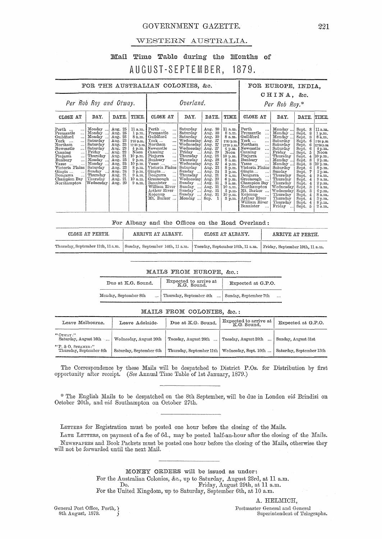## GOVERNMENT GAZETTE.

## WESTERN AUSTRALIA.

#### Mail Time Table during the Months of AUGUST-SEPTEMBER, 1879.

| FOR THE AUSTRALIAN COLONIES, &c.                                                                                                                                                                                                                                                                                                                       |                                                                                                                                                                     |                                                                                                                                                                         |                                                                                                                         |                                                                                                                                                                                                                                                                                                                                                                                                                                                                      |                                                                                                                                                                                                                                                 |                                                                                                                                                                                                                      |                                                                                                                                                                                                                 | FOR EUROPE, INDIA,                                                                                                                                                                                                                                                                                                                                                                                                                                       |                                                                                                                                                                                                                                             |                                                                                                                                                                                                            |                                                                                                                                                                                                                                          |  |
|--------------------------------------------------------------------------------------------------------------------------------------------------------------------------------------------------------------------------------------------------------------------------------------------------------------------------------------------------------|---------------------------------------------------------------------------------------------------------------------------------------------------------------------|-------------------------------------------------------------------------------------------------------------------------------------------------------------------------|-------------------------------------------------------------------------------------------------------------------------|----------------------------------------------------------------------------------------------------------------------------------------------------------------------------------------------------------------------------------------------------------------------------------------------------------------------------------------------------------------------------------------------------------------------------------------------------------------------|-------------------------------------------------------------------------------------------------------------------------------------------------------------------------------------------------------------------------------------------------|----------------------------------------------------------------------------------------------------------------------------------------------------------------------------------------------------------------------|-----------------------------------------------------------------------------------------------------------------------------------------------------------------------------------------------------------------|----------------------------------------------------------------------------------------------------------------------------------------------------------------------------------------------------------------------------------------------------------------------------------------------------------------------------------------------------------------------------------------------------------------------------------------------------------|---------------------------------------------------------------------------------------------------------------------------------------------------------------------------------------------------------------------------------------------|------------------------------------------------------------------------------------------------------------------------------------------------------------------------------------------------------------|------------------------------------------------------------------------------------------------------------------------------------------------------------------------------------------------------------------------------------------|--|
| Per Rob Roy and Otway.                                                                                                                                                                                                                                                                                                                                 |                                                                                                                                                                     |                                                                                                                                                                         |                                                                                                                         | Overland.                                                                                                                                                                                                                                                                                                                                                                                                                                                            |                                                                                                                                                                                                                                                 |                                                                                                                                                                                                                      |                                                                                                                                                                                                                 | CHINA, &c.<br>Per Rob Roy.*                                                                                                                                                                                                                                                                                                                                                                                                                              |                                                                                                                                                                                                                                             |                                                                                                                                                                                                            |                                                                                                                                                                                                                                          |  |
| CLOSE AT                                                                                                                                                                                                                                                                                                                                               | DAY.                                                                                                                                                                | DATE.                                                                                                                                                                   | TIME.                                                                                                                   | CLOSE AT                                                                                                                                                                                                                                                                                                                                                                                                                                                             | DAY.                                                                                                                                                                                                                                            | DATE.                                                                                                                                                                                                                | TIME.                                                                                                                                                                                                           | <b>CLOSE AT</b>                                                                                                                                                                                                                                                                                                                                                                                                                                          | DAY.                                                                                                                                                                                                                                        | DATE.                                                                                                                                                                                                      | TIME.                                                                                                                                                                                                                                    |  |
| $\mathrm{Perth}$<br>$\cdots$<br>$\operatorname{Fremantle}$<br>$\ddotsc$<br>Guildford<br>$\operatorname{York}$<br><br>Northam.<br>$\ddotsc$<br>Newcastle<br>$\cdots$<br>Canning<br>$\cdots$<br>Pinjarra<br>$\ddotsc$<br>Bunbury<br>$\ddotsc$<br>Vasse<br>$\ddotsc$<br>Victoria Plains<br>Gingin<br>$\ddotsc$<br>Dongarra<br>Champion Bay<br>Northampton | Monday<br>Monday<br>Monday<br>Saturday<br>Saturday<br>Saturday<br>Friday<br>Thursday<br>Monday<br>Monday<br>Saturday<br>Sunday<br>Thursday<br>Thursday<br>Wednesday | Aug. 25<br>Aug. 25<br>Aug. 25<br>23<br>Aug.<br>Aug. 23<br>Aug. 23<br>Aug. 22<br>Aug. 21<br>Aug. 25<br>25<br>Aug.<br>Aug. 23<br>Aug. 24<br>Aug. 21<br>Aug. 21<br>Aug. 20 | 1 p.m.<br>8 a.m.<br>2.30 p.m.<br>Noon<br>$9 \text{ p.m.}$<br>10 p.m.<br>8 p.m.<br>3 p.m.<br>9 a.m.<br>10 a.m.<br>9 a.m. | $11 a.m.$ Perth<br>Fremantle<br>$\ddotsc$<br>Guildford<br>$\ddotsc$<br>$\operatorname{York}$ $\ldots$<br>$\ddotsc$<br>12:30 p.m.] Northam<br>$\ddotsc$<br>4 p.m. Newcastle<br>$\cdots$<br>Canning<br>$\cdots$<br>10 p.m. Pinjarra<br>$\ddotsc$<br>Bunbury<br>!<br>Vasse<br>Victoria Plains<br>Gingin<br>$\ddotsc$<br>Dongarra<br>$\ddotsc$<br>Greenough<br>$\ddotsc$<br>Bannister<br>$\ddotsc$<br>William River<br>Arthur River<br>Kojonup<br>$\cdots$<br>Mt. Barker | Saturday<br>Saturday<br>Saturday<br>Wednesday<br>Wednesday.<br>Wednesday<br>Friday<br>Thursday<br>Thursday<br>Wednesday<br>Saturday<br>Sunday<br>Thursday<br>Wednesday<br>Sunday<br>$\cdots$<br>Sunday<br>Sunday'<br>$\sim$<br>Sunday<br>Monday | Aug. 30<br>Aug. 30<br>Aug. 30<br>Aug. 27<br>Aug. 27<br>Aug.<br>-27<br>Aug. 29<br>Aug. 28<br>Aug. 28<br>-27<br>Ang.<br>Aug. 23<br>Aug. 24<br>Aug. 21<br>Aug. 20<br>Aug. 31<br>Aug. 31<br>Aug. $31$<br>Aug. 31<br>Sep. | 11 a.m.<br>8 a.m.<br>8 a.m.<br>2'30 p.m.<br>12'30 p.m.<br>$4$ p.m.<br>Noon<br>10 p.m.<br>8 a.m.<br>4 p.m.<br>8 p.m.<br>3 p.m.<br>9 a.m.<br>6 p.m.<br>3 a.m.<br>10 a.m.<br>3 p.m.<br>$10 \text{ p.m.}$<br>3 p.m. | Perth<br>$\cdots$<br>Fremantle<br>$\cdots$<br>Guildford<br>$\ddotsc$<br>$\text{York} \dots$<br>$\ddotsc$<br>Northam<br>$\ddotsc$<br>Newcastle<br>$\cdots$<br>Canning<br>المحمد<br>Pinjarra<br>$\ldots$<br>Bunbury<br>$\cdots$<br>Vasse<br>$\cdots$<br>Victoria Plains<br>Gingin<br>$\ddotsc$<br>Dongarra<br>$\sim$ $\sim$<br>Greenough<br>Champion Bay<br>Northampton<br>Mt. Barker<br>Kojonup<br>Arthur River<br>$\ldots$<br>William River<br>Bannister | Monday<br>Monday<br>Monday<br>Saturday<br>Saturday<br>Saturday<br>Friday<br>Thursday<br>Monday<br>Monday.<br>Saturday<br>Sunday<br>Thursday<br>Thursday<br>Thursday<br>Wednesday<br>Wednesday<br>Thursday<br>Thursday<br>Thursday<br>Friday | Sept. 8<br>Sept.<br>8<br>Sept.<br>Sept.<br>Sept.<br>Sept.<br>Sept.<br>5<br>Sept.<br>Sept.<br>Sept.<br>Sept.<br>Sept.<br>Sept.<br>Sept.<br>Sept.<br>Sept.<br>Sept.<br>Sept.<br>4<br>Sept.<br>Sept.<br>Sept. | 11 a.m.<br>1 p.m.<br>8 a.m.<br>2.30 p.m.<br>12'30 p.m.<br>4 p.m.<br>Noon<br>10 p.m.<br>9 p.m.<br>$10~\mathrm{p.m.}$<br>8 p.m.<br>3 p.m.<br>9a.m.<br>9a.m.<br>2 p.m.<br>9 a.m.<br>$6 \text{ p.m.}$<br>8 a.m.<br>3 p.m.<br>8 p.m.<br>2a.m. |  |

| For Albany and the Offices on the Road Overland: |  |  |  |
|--------------------------------------------------|--|--|--|
|--------------------------------------------------|--|--|--|

| CLOSE AT PERTH.                   | ARRIVE AT ALBANY.               | CLOSE AT ALBANY.                 | ARRIVE AT PERTH.                |
|-----------------------------------|---------------------------------|----------------------------------|---------------------------------|
| Thursday, September 11th, 11 a.m. | Sunday, September 14th, 11 a.m. | Tuesday, September 16th, 11 a.m. | Friday, September 19th, 11 a.m. |

#### MAILS FROM EUROPE, &c.:

| Due at K.G. Sound.    | Expected to arrive at K.G. Sound. | Expected at G.P.O.    |  |  |  |  |
|-----------------------|-----------------------------------|-----------------------|--|--|--|--|
| Monday, September 8th | Thursday, September 4th           | Sunday, September 7th |  |  |  |  |

#### MAILS FROM COLONIES, &c.:

| Leave Melbourne.                                 | Leave Adelaide.         | Due at K.G. Sound.       | Expected to arrive at<br>K.G. Sound. | Expected at G.P.O.       |  |
|--------------------------------------------------|-------------------------|--------------------------|--------------------------------------|--------------------------|--|
| $^{\alpha}$ Otway:"<br>Saturday, August 16th     | Wednesday, August 20th  | Tuesday, August 26th     | Tuesday, August 26th                 | Sunday, August 31st      |  |
| "P. $\&$ O. STEAMER:"<br>Thursday, September 4th | Saturday, September 6th | Thursday, September 11th | Wednesday, Sept. 10th                | Saturday, September 13th |  |

The Correspondence by these Mails will be despatched to District P.Os. for Distribution by first opportunity after receipt. (See Annual Time Table of 1st January, 1879.)

\* The English Mails to be despatched on the 8th September, will be due in London vid Brindisi on October 20th, and vid Southampton on October 27th.

LETTERS for Registration must be posted one hour before the closing of the Mails.

LATE LETTERS, on payment of a fee of 6d., may be posted half-an-hour after the closing of the Mails. NEWSPAPERS and Book Packets must be posted one hour before the closing of the Mails, otherwise they will not be forwarded until the next Mail.

> MONEY ORDERS will be issued as under: For the Australian Colonies, &c., up to Saturday, August 23rd, at 11 a.m. Friday, August 29th, at 11 a.m.  $Do.$ For the United Kingdom, up to Saturday, September 6th, at 10 a.m.

General Post Office, Perth, { 8th August, 1879.

A. HELMICH, Postmaster General and General Superintendent of Telegraphs.